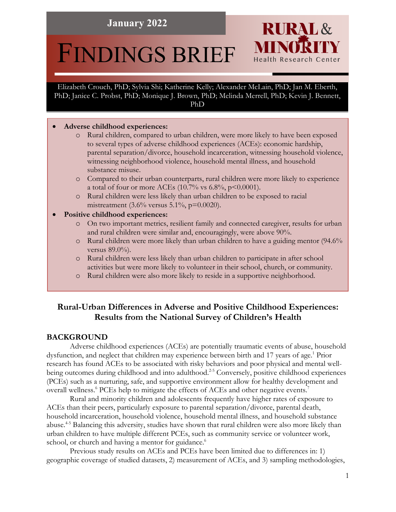# **January 2022**

# FINDINGS BRIEF

Elizabeth Crouch, PhD; Sylvia Shi; Katherine Kelly; Alexander McLain, PhD; Jan M. Eberth, PhD; Janice C. Probst, PhD; Monique J. Brown, PhD; Melinda Merrell, PhD; Kevin J. Bennett, PhD

## • **Adverse childhood experiences:**

o Rural children, compared to urban children, were more likely to have been exposed to several types of adverse childhood experiences (ACEs): economic hardship, parental separation/divorce, household incarceration, witnessing household violence, witnessing neighborhood violence, household mental illness, and household substance misuse.

**RURAL&** 

Health Research Center

- o Compared to their urban counterparts, rural children were more likely to experience a total of four or more ACEs (10.7% vs 6.8%,  $p$ <0.0001).
- o Rural children were less likely than urban children to be exposed to racial mistreatment (3.6% versus 5.1%, p=0.0020).

# • **Positive childhood experiences:**

- o On two important metrics, resilient family and connected caregiver, results for urban and rural children were similar and, encouragingly, were above 90%.
- o Rural children were more likely than urban children to have a guiding mentor (94.6% versus 89.0%).
- o Rural children were less likely than urban children to participate in after school activities but were more likely to volunteer in their school, church, or community.
- o Rural children were also more likely to reside in a supportive neighborhood.

# **Rural-Urban Differences in Adverse and Positive Childhood Experiences: Results from the National Survey of Children's Health**

# **BACKGROUND**

Adverse childhood experiences (ACEs) are potentially traumatic events of abuse, household dysfunction, and neglect that children may experience between birth and 17 years of age.<sup>1</sup> Prior research has found ACEs to be associated with risky behaviors and poor physical and mental wellbeing outcomes during childhood and into adulthood.<sup>2-5</sup> Conversely, positive childhood experiences (PCEs) such as a nurturing, safe, and supportive environment allow for healthy development and overall wellness.<sup>6</sup> PCEs help to mitigate the effects of ACEs and other negative events.<sup>7</sup>

Rural and minority children and adolescents frequently have higher rates of exposure to ACEs than their peers, particularly exposure to parental separation/divorce, parental death, household incarceration, household violence, household mental illness, and household substance abuse.<sup>4-5</sup> Balancing this adversity, studies have shown that rural children were also more likely than urban children to have multiple different PCEs, such as community service or volunteer work, school, or church and having a mentor for guidance.<sup>6</sup>

Previous study results on ACEs and PCEs have been limited due to differences in: 1) geographic coverage of studied datasets, 2) measurement of ACEs, and 3) sampling methodologies,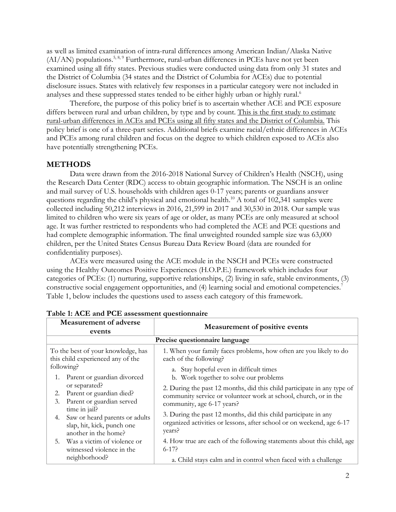as well as limited examination of intra-rural differences among American Indian/Alaska Native  $(AI/AN)$  populations.<sup>5, 8, 9</sup> Furthermore, rural-urban differences in PCEs have not yet been examined using all fifty states. Previous studies were conducted using data from only 31 states and the District of Columbia (34 states and the District of Columbia for ACEs) due to potential disclosure issues. States with relatively few responses in a particular category were not included in analyses and these suppressed states tended to be either highly urban or highly rural.<sup>6</sup>

Therefore, the purpose of this policy brief is to ascertain whether ACE and PCE exposure differs between rural and urban children, by type and by count. This is the first study to estimate rural-urban differences in ACEs and PCEs using all fifty states and the District of Columbia. This policy brief is one of a three-part series. Additional briefs examine racial/ethnic differences in ACEs and PCEs among rural children and focus on the degree to which children exposed to ACEs also have potentially strengthening PCEs.

# **METHODS**

Data were drawn from the 2016-2018 National Survey of Children's Health (NSCH), using the Research Data Center (RDC) access to obtain geographic information. The NSCH is an online and mail survey of U.S. households with children ages 0-17 years; parents or guardians answer questions regarding the child's physical and emotional health.<sup>10</sup> A total of  $102,341$  samples were collected including 50,212 interviews in 2016, 21,599 in 2017 and 30,530 in 2018. Our sample was limited to children who were six years of age or older, as many PCEs are only measured at school age. It was further restricted to respondents who had completed the ACE and PCE questions and had complete demographic information. The final unweighted rounded sample size was 63,000 children, per the United States Census Bureau Data Review Board (data are rounded for confidentiality purposes).

ACEs were measured using the ACE module in the NSCH and PCEs were constructed using the Healthy Outcomes Positive Experiences (H.O.P.E.) framework which includes four categories of PCEs: (1) nurturing, supportive relationships, (2) living in safe, stable environments, (3) constructive social engagement opportunities, and (4) learning social and emotional competencies.<sup>7</sup> Table 1, below includes the questions used to assess each category of this framework.

| <b>Measurement of adverse</b><br>events                                                                     | Measurement of positive events                                                                                                                                            |  |  |  |  |  |
|-------------------------------------------------------------------------------------------------------------|---------------------------------------------------------------------------------------------------------------------------------------------------------------------------|--|--|--|--|--|
| Precise questionnaire language                                                                              |                                                                                                                                                                           |  |  |  |  |  |
| To the best of your knowledge, has<br>this child experienced any of the                                     | 1. When your family faces problems, how often are you likely to do<br>each of the following?                                                                              |  |  |  |  |  |
| following?<br>Parent or guardian divorced<br>1.                                                             | a. Stay hopeful even in difficult times<br>b. Work together to solve our problems                                                                                         |  |  |  |  |  |
| or separated?<br>Parent or guardian died?<br>2.<br>Parent or guardian served<br>3.                          | 2. During the past 12 months, did this child participate in any type of<br>community service or volunteer work at school, church, or in the<br>community, age 6-17 years? |  |  |  |  |  |
| time in jail?<br>Saw or heard parents or adults<br>4.<br>slap, hit, kick, punch one<br>another in the home? | 3. During the past 12 months, did this child participate in any<br>organized activities or lessons, after school or on weekend, age 6-17<br>years?                        |  |  |  |  |  |
| 5. Was a victim of violence or<br>witnessed violence in the<br>neighborhood?                                | 4. How true are each of the following statements about this child, age<br>$6-17$ ?<br>a. Child stays calm and in control when faced with a challenge                      |  |  |  |  |  |

**Table 1: ACE and PCE assessment questionnaire**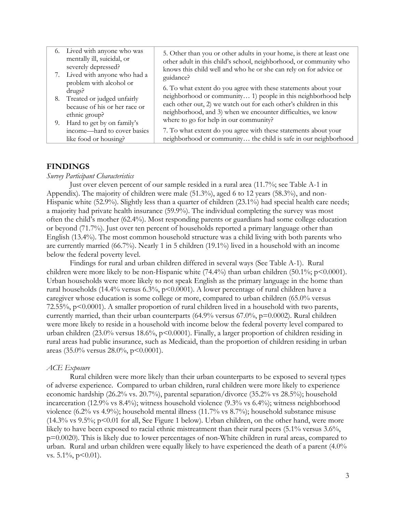| 6. Lived with anyone who was<br>mentally ill, suicidal, or<br>severely depressed?<br>7. Lived with anyone who had a<br>problem with alcohol or | 5. Other than you or other adults in your home, is there at least one<br>other adult in this child's school, neighborhood, or community who<br>knows this child well and who he or she can rely on for advice or<br>guidance?                                         |
|------------------------------------------------------------------------------------------------------------------------------------------------|-----------------------------------------------------------------------------------------------------------------------------------------------------------------------------------------------------------------------------------------------------------------------|
| drugs?<br>8. Treated or judged unfairly<br>because of his or her race or<br>ethnic group?                                                      | 6. To what extent do you agree with these statements about your<br>neighborhood or community 1) people in this neighborhood help<br>each other out, 2) we watch out for each other's children in this<br>neighborhood, and 3) when we encounter difficulties, we know |
| 9. Hard to get by on family's<br>income—hard to cover basics                                                                                   | where to go for help in our community?<br>7. To what extent do you agree with these statements about your                                                                                                                                                             |
| like food or housing?                                                                                                                          | neighborhood or community the child is safe in our neighborhood                                                                                                                                                                                                       |

# **FINDINGS**

#### *Survey Participant Characteristics*

Just over eleven percent of our sample resided in a rural area (11.7%; see Table A-1 in Appendix). The majority of children were male (51.3%), aged 6 to 12 years (58.3%), and non-Hispanic white (52.9%). Slightly less than a quarter of children (23.1%) had special health care needs; a majority had private health insurance (59.9%). The individual completing the survey was most often the child's mother (62.4%). Most responding parents or guardians had some college education or beyond (71.7%). Just over ten percent of households reported a primary language other than English (13.4%). The most common household structure was a child living with both parents who are currently married (66.7%). Nearly 1 in 5 children (19.1%) lived in a household with an income below the federal poverty level.

Findings for rural and urban children differed in several ways (See Table A-1). Rural children were more likely to be non-Hispanic white  $(74.4\%)$  than urban children  $(50.1\%)$ ; p<0.0001). Urban households were more likely to not speak English as the primary language in the home than rural households (14.4% versus 6.3%,  $p$ <0.0001). A lower percentage of rural children have a caregiver whose education is some college or more, compared to urban children (65.0% versus 72.55%,  $p \le 0.0001$ ). A smaller proportion of rural children lived in a household with two parents, currently married, than their urban counterparts (64.9% versus 67.0%, p=0.0002). Rural children were more likely to reside in a household with income below the federal poverty level compared to urban children (23.0% versus 18.6%, p<0.0001). Finally, a larger proportion of children residing in rural areas had public insurance, such as Medicaid, than the proportion of children residing in urban areas (35.0% versus 28.0%,  $p<0.0001$ ).

#### *ACE Exposure*

Rural children were more likely than their urban counterparts to be exposed to several types of adverse experience. Compared to urban children, rural children were more likely to experience economic hardship (26.2% vs. 20.7%), parental separation/divorce (35.2% vs 28.5%); household incarceration (12.9% vs 8.4%); witness household violence (9.3% vs 6.4%); witness neighborhood violence (6.2% vs 4.9%); household mental illness (11.7% vs 8.7%); household substance misuse  $(14.3\% \text{ vs } 9.5\%; \text{ p} < 0.01 \text{ for all, See Figure 1 below})$ . Urban children, on the other hand, were more likely to have been exposed to racial ethnic mistreatment than their rural peers (5.1% versus 3.6%, p=0.0020). This is likely due to lower percentages of non-White children in rural areas, compared to urban. Rural and urban children were equally likely to have experienced the death of a parent (4.0% vs.  $5.1\%$ ,  $p<0.01$ ).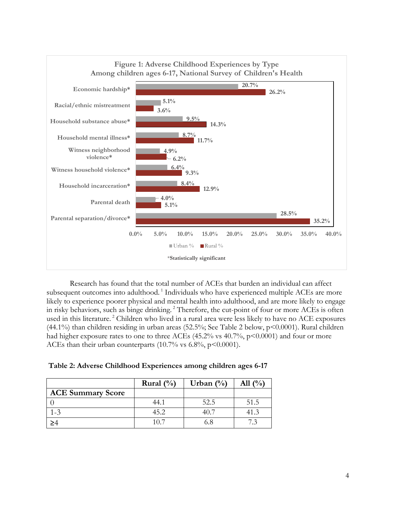

Research has found that the total number of ACEs that burden an individual can affect subsequent outcomes into adulthood.<sup>1</sup> Individuals who have experienced multiple ACEs are more likely to experience poorer physical and mental health into adulthood, and are more likely to engage in risky behaviors, such as binge drinking.<sup>2</sup> Therefore, the cut-point of four or more ACEs is often used in this literature. <sup>2</sup> Children who lived in a rural area were less likely to have no ACE exposures (44.1%) than children residing in urban areas (52.5%; See Table 2 below, p<0.0001). Rural children had higher exposure rates to one to three ACEs (45.2% vs 40.7%,  $p$ <0.0001) and four or more ACEs than their urban counterparts (10.7% vs  $6.8\%$ , p<0.0001).

|                          | Rural $(\% )$ | Urban $(\%)$ | All $(\%)$ |
|--------------------------|---------------|--------------|------------|
| <b>ACE Summary Score</b> |               |              |            |
|                          | 44.1          | 52.5         | 51.5       |
|                          | 45.2          | 40 Z         | 41.3       |
|                          | 10.7          | 6.8          |            |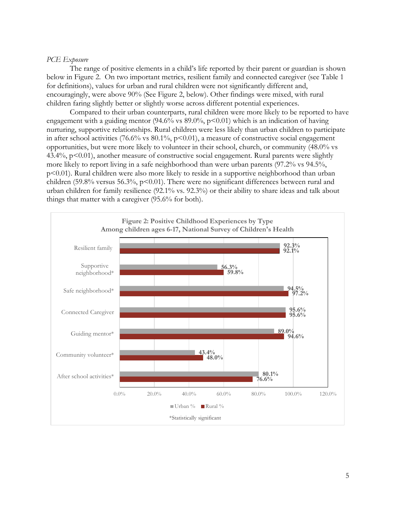## *PCE Exposure*

The range of positive elements in a child's life reported by their parent or guardian is shown below in Figure 2. On two important metrics, resilient family and connected caregiver (see Table 1 for definitions), values for urban and rural children were not significantly different and, encouragingly, were above 90% (See Figure 2, below). Other findings were mixed, with rural children faring slightly better or slightly worse across different potential experiences.

Compared to their urban counterparts, rural children were more likely to be reported to have engagement with a guiding mentor (94.6% vs  $89.0\%$ ,  $p<0.01$ ) which is an indication of having nurturing, supportive relationships. Rural children were less likely than urban children to participate in after school activities (76.6% vs  $80.1\%$ , p<0.01), a measure of constructive social engagement opportunities, but were more likely to volunteer in their school, church, or community (48.0% vs 43.4%, p<0.01), another measure of constructive social engagement. Rural parents were slightly more likely to report living in a safe neighborhood than were urban parents (97.2% vs 94.5%, p<0.01). Rural children were also more likely to reside in a supportive neighborhood than urban children (59.8% versus 56.3%,  $p<0.01$ ). There were no significant differences between rural and urban children for family resilience (92.1% vs. 92.3%) or their ability to share ideas and talk about things that matter with a caregiver (95.6% for both).

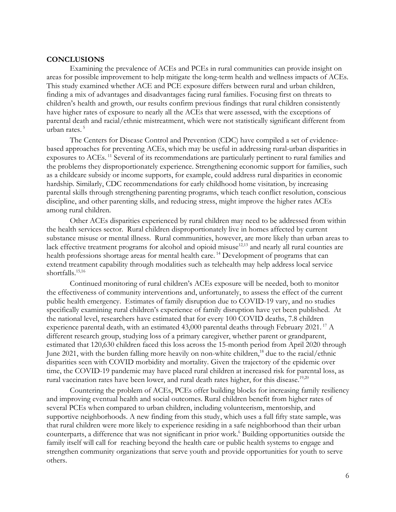#### **CONCLUSIONS**

Examining the prevalence of ACEs and PCEs in rural communities can provide insight on areas for possible improvement to help mitigate the long-term health and wellness impacts of ACEs. This study examined whether ACE and PCE exposure differs between rural and urban children, finding a mix of advantages and disadvantages facing rural families. Focusing first on threats to children's health and growth, our results confirm previous findings that rural children consistently have higher rates of exposure to nearly all the ACEs that were assessed, with the exceptions of parental death and racial/ethnic mistreatment, which were not statistically significant different from urban rates. 5

The Centers for Disease Control and Prevention (CDC) have compiled a set of evidencebased approaches for preventing ACEs, which may be useful in addressing rural-urban disparities in exposures to ACEs.<sup>11</sup> Several of its recommendations are particularly pertinent to rural families and the problems they disproportionately experience. Strengthening economic support for families, such as a childcare subsidy or income supports, for example, could address rural disparities in economic hardship. Similarly, CDC recommendations for early childhood home visitation, by increasing parental skills through strengthening parenting programs, which teach conflict resolution, conscious discipline, and other parenting skills, and reducing stress, might improve the higher rates ACEs among rural children.

Other ACEs disparities experienced by rural children may need to be addressed from within the health services sector. Rural children disproportionately live in homes affected by current substance misuse or mental illness. Rural communities, however, are more likely than urban areas to lack effective treatment programs for alcohol and opioid misuse<sup>12,13</sup> and nearly all rural counties are health professions shortage areas for mental health care.<sup>14</sup> Development of programs that can extend treatment capability through modalities such as telehealth may help address local service shortfalls.<sup>15,16</sup>

Continued monitoring of rural children's ACEs exposure will be needed, both to monitor the effectiveness of community interventions and, unfortunately, to assess the effect of the current public health emergency. Estimates of family disruption due to COVID-19 vary, and no studies specifically examining rural children's experience of family disruption have yet been published. At the national level, researchers have estimated that for every 100 COVID deaths, 7.8 children experience parental death, with an estimated 43,000 parental deaths through February 2021.<sup>17</sup> A different research group, studying loss of a primary caregiver, whether parent or grandparent, estimated that 120,630 children faced this loss across the 15-month period from April 2020 through June 2021, with the burden falling more heavily on non-white children,<sup>18</sup> due to the racial/ethnic disparities seen with COVID morbidity and mortality. Given the trajectory of the epidemic over time, the COVID-19 pandemic may have placed rural children at increased risk for parental loss, as rural vaccination rates have been lower, and rural death rates higher, for this disease.<sup>19,20</sup>

Countering the problem of ACEs, PCEs offer building blocks for increasing family resiliency and improving eventual health and social outcomes. Rural children benefit from higher rates of several PCEs when compared to urban children, including volunteerism, mentorship, and supportive neighborhoods. A new finding from this study, which uses a full fifty state sample, was that rural children were more likely to experience residing in a safe neighborhood than their urban counterparts, a difference that was not significant in prior work.6 Building opportunities outside the family itself will call for reaching beyond the health care or public health systems to engage and strengthen community organizations that serve youth and provide opportunities for youth to serve others.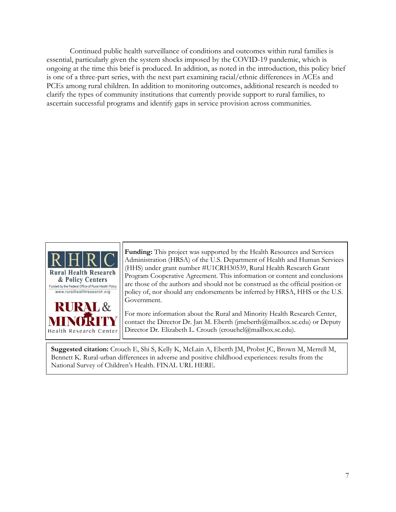Continued public health surveillance of conditions and outcomes within rural families is essential, particularly given the system shocks imposed by the COVID-19 pandemic, which is ongoing at the time this brief is produced. In addition, as noted in the introduction, this policy brief is one of a three-part series, with the next part examining racial/ethnic differences in ACEs and PCEs among rural children. In addition to monitoring outcomes, additional research is needed to clarify the types of community institutions that currently provide support to rural families, to ascertain successful programs and identify gaps in service provision across communities.



**Funding:** This project was supported by the Health Resources and Services Administration (HRSA) of the U.S. Department of Health and Human Services (HHS) under grant number #U1CRH30539, Rural Health Research Grant Program Cooperative Agreement. This information or content and conclusions are those of the authors and should not be construed as the official position or policy of, nor should any endorsements be inferred by HRSA, HHS or the U.S. Government.

For more information about the Rural and Minority Health Research Center, contact the Director Dr. Jan M. Eberth (jmeberth@mailbox.sc.edu) or Deputy Director Dr. Elizabeth L. Crouch (crouchel@mailbox.sc.edu).

**Suggested citation:** Crouch E, Shi S, Kelly K, McLain A, Eberth JM, Probst JC, Brown M, Merrell M, Bennett K. Rural-urban differences in adverse and positive childhood experiences: results from the National Survey of Children's Health. FINAL URL HERE.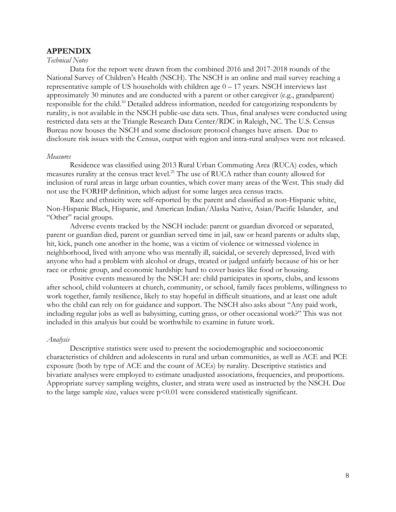# **APPENDIX**

## *Technical Notes*

Data for the report were drawn from the combined 2016 and 2017-2018 rounds of the National Survey of Children's Health (NSCH). The NSCH is an online and mail survey reaching a representative sample of US households with children age  $0 - 17$  years. NSCH interviews last approximately 30 minutes and are conducted with a parent or other caregiver (e.g., grandparent) responsible for the child.10 Detailed address information, needed for categorizing respondents by rurality, is not available in the NSCH public-use data sets. Thus, final analyses were conducted using restricted data sets at the Triangle Research Data Center/RDC in Raleigh, NC. The U.S. Census Bureau now houses the NSCH and some disclosure protocol changes have arisen. Due to disclosure risk issues with the Census, output with region and intra-rural analyses were not released.

#### *Measures*

Residence was classified using 2013 Rural Urban Commuting Area (RUCA) codes, which measures rurality at the census tract level.<sup>21</sup> The use of RUCA rather than county allowed for inclusion of rural areas in large urban counties, which cover many areas of the West. This study did not use the FORHP definition, which adjust for some larges area census tracts.

Race and ethnicity were self-reported by the parent and classified as non-Hispanic white, Non-Hispanic Black, Hispanic, and American Indian/Alaska Native, Asian/Pacific Islander, and "Other" racial groups.

Adverse events tracked by the NSCH include: parent or guardian divorced or separated, parent or guardian died, parent or guardian served time in jail, saw or heard parents or adults slap, hit, kick, punch one another in the home, was a victim of violence or witnessed violence in neighborhood, lived with anyone who was mentally ill, suicidal, or severely depressed, lived with anyone who had a problem with alcohol or drugs, treated or judged unfairly because of his or her race or ethnic group, and economic hardship: hard to cover basics like food or housing.

Positive events measured by the NSCH are: child participates in sports, clubs, and lessons after school, child volunteers at church, community, or school, family faces problems, willingness to work together, family resilience, likely to stay hopeful in difficult situations, and at least one adult who the child can rely on for guidance and support. The NSCH also asks about "Any paid work, including regular jobs as well as babysitting, cutting grass, or other occasional work?" This was not included in this analysis but could be worthwhile to examine in future work.

#### *Analysis*

Descriptive statistics were used to present the sociodemographic and socioeconomic characteristics of children and adolescents in rural and urban communities, as well as ACE and PCE exposure (both by type of ACE and the count of ACEs) by rurality. Descriptive statistics and bivariate analyses were employed to estimate unadjusted associations, frequencies, and proportions. Appropriate survey sampling weights, cluster, and strata were used as instructed by the NSCH. Due to the large sample size, values were  $p<0.01$  were considered statistically significant.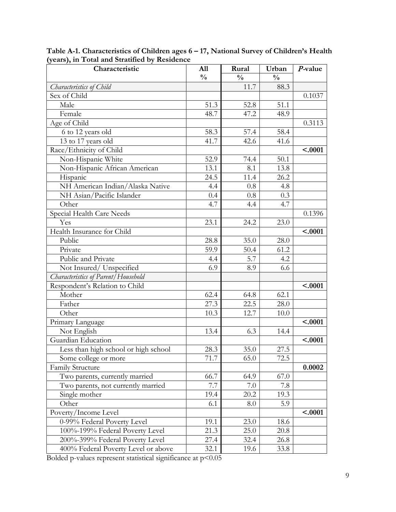| Characteristic                       | All           | Rural         | Urban         | P-value |
|--------------------------------------|---------------|---------------|---------------|---------|
|                                      | $\frac{0}{0}$ | $\frac{0}{0}$ | $\frac{0}{0}$ |         |
| Characteristics of Child             |               | 11.7          | 88.3          |         |
| Sex of Child                         |               |               |               | 0.1037  |
| Male                                 | 51.3          | 52.8          | 51.1          |         |
| Female                               | 48.7          | 47.2          | 48.9          |         |
| Age of Child                         |               |               |               | 0.3113  |
| 6 to 12 years old                    | 58.3          | 57.4          | 58.4          |         |
| 13 to 17 years old                   | 41.7          | 42.6          | 41.6          |         |
| Race/Ethnicity of Child              |               |               |               | < .0001 |
| Non-Hispanic White                   | 52.9          | 74.4          | 50.1          |         |
| Non-Hispanic African American        | 13.1          | 8.1           | 13.8          |         |
| Hispanic                             | 24.5          | 11.4          | 26.2          |         |
| NH American Indian/Alaska Native     | 4.4           | 0.8           | 4.8           |         |
| NH Asian/Pacific Islander            | 0.4           | 0.8           | 0.3           |         |
| Other                                | 4.7           | 4.4           | 4.7           |         |
| Special Health Care Needs            |               |               |               | 0.1396  |
| Yes                                  | 23.1          | 24.2          | 23.0          |         |
| Health Insurance for Child           |               |               |               | < .0001 |
| Public                               | 28.8          | 35.0          | 28.0          |         |
| Private                              | 59.9          | 50.4          | 61.2          |         |
| Public and Private                   | 4.4           | 5.7           | 4.2           |         |
| Not Insured/Unspecified              | 6.9           | 8.9           | 6.6           |         |
| Characteristics of Parent/Household  |               |               |               |         |
| Respondent's Relation to Child       |               |               |               | < .0001 |
| Mother                               | 62.4          | 64.8          | 62.1          |         |
| Father                               | 27.3          | 22.5          | 28.0          |         |
| Other                                | 10.3          | 12.7          | 10.0          |         |
| Primary Language                     |               |               |               | < .0001 |
| Not English                          | 13.4          | 6.3           | 14.4          |         |
| Guardian Education                   |               |               |               | < .0001 |
| Less than high school or high school | 28.3          | 35.0          | 27.5          |         |
| Some college or more                 | 71.7          | 65.0          | 72.5          |         |
| Family Structure                     |               |               |               | 0.0002  |
| Two parents, currently married       | 66.7          | 64.9          | 67.0          |         |
| Two parents, not currently married   | 7.7           | 7.0           | 7.8           |         |
| Single mother                        | 19.4          | 20.2          | 19.3          |         |
| Other                                | 6.1           | 8.0           | 5.9           |         |
| Poverty/Income Level                 |               |               |               | < .0001 |
| 0-99% Federal Poverty Level          | 19.1          | 23.0          | 18.6          |         |
| 100%-199% Federal Poverty Level      | 21.3          | 25.0          | 20.8          |         |
| 200%-399% Federal Poverty Level      | 27.4          | 32.4          | 26.8          |         |
| 400% Federal Poverty Level or above  | 32.1          | 19.6          | 33.8          |         |

**Table A-1. Characteristics of Children ages 6 – 17, National Survey of Children's Health (years), in Total and Stratified by Residence**

Bolded p-values represent statistical significance at  $p<0.05$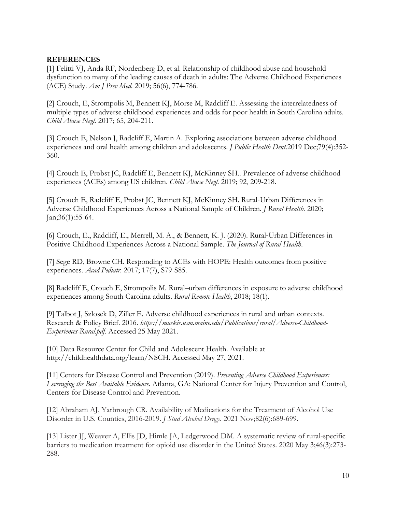# **REFERENCES**

[1] Felitti VJ, Anda RF, Nordenberg D, et al. Relationship of childhood abuse and household dysfunction to many of the leading causes of death in adults: The Adverse Childhood Experiences (ACE) Study. *Am J Prev Med.* 2019; 56(6), 774-786.

[2] Crouch, E, Strompolis M, Bennett KJ, Morse M, Radcliff E. Assessing the interrelatedness of multiple types of adverse childhood experiences and odds for poor health in South Carolina adults. *Child Abuse Negl.* 2017; 65, 204-211.

[3] Crouch E, Nelson J, Radcliff E, Martin A. Exploring associations between adverse childhood experiences and oral health among children and adolescents. *J Public Health Dent.*2019 Dec;79(4):352- 360.

[4] Crouch E, Probst JC, Radcliff E, Bennett KJ, McKinney SH.. Prevalence of adverse childhood experiences (ACEs) among US children. *Child Abuse Negl.* 2019; 92, 209-218.

[5] Crouch E, Radcliff E, Probst JC, Bennett KJ, McKinney SH. Rural‐Urban Differences in Adverse Childhood Experiences Across a National Sample of Children. *J Rural Health.* 2020; Jan;36(1):55-64.

[6] Crouch, E., Radcliff, E., Merrell, M. A., & Bennett, K. J. (2020). Rural‐Urban Differences in Positive Childhood Experiences Across a National Sample. *The Journal of Rural Health*.

[7] Sege RD, Browne CH. Responding to ACEs with HOPE: Health outcomes from positive experiences. *Acad Pediatr.* 2017; 17(7), S79-S85.

[8] Radcliff E, Crouch E, Strompolis M. Rural–urban differences in exposure to adverse childhood experiences among South Carolina adults. *Rural Remote Health*, 2018; 18(1).

[9] Talbot J, Szlosek D, Ziller E. Adverse childhood experiences in rural and urban contexts. Research & Policy Brief. 2016. *https://muskie.usm.maine.edu/Publications/rural/Adverse-Childhood-Experiences-Rural.pdf.* Accessed 25 May 2021.

[10] Data Resource Center for Child and Adolescent Health. Available at http://childhealthdata.org/learn/NSCH. Accessed May 27, 2021.

[11] Centers for Disease Control and Prevention (2019). *Preventing Adverse Childhood Experiences: Leveraging the Best Available Evidence*. Atlanta, GA: National Center for Injury Prevention and Control, Centers for Disease Control and Prevention.

[12] Abraham AJ, Yarbrough CR. Availability of Medications for the Treatment of Alcohol Use Disorder in U.S. Counties, 2016-2019. *J Stud Alcohol Drugs*. 2021 Nov;82(6):689-699.

[13] Lister JJ, Weaver A, Ellis JD, Himle JA, Ledgerwood DM. A systematic review of rural-specific barriers to medication treatment for opioid use disorder in the United States. 2020 May 3;46(3):273- 288.